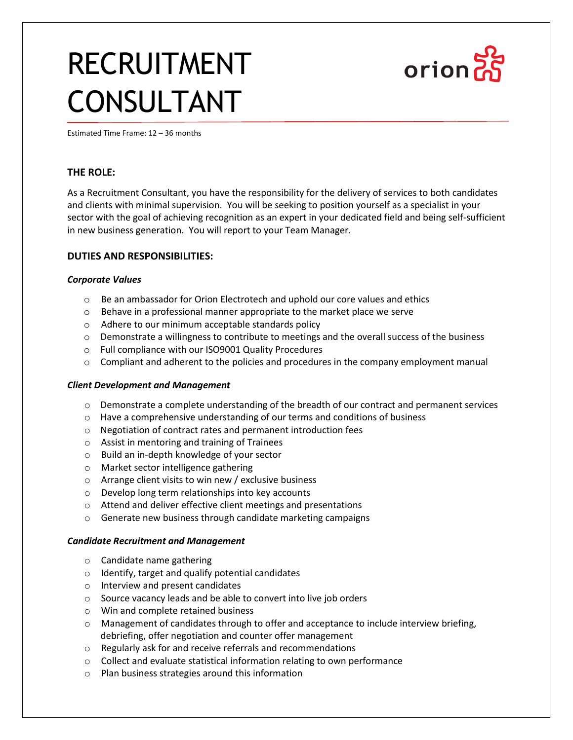# RECRUITMENT CONSULTANT



Estimated Time Frame: 12 – 36 months

## **THE ROLE:**

As a Recruitment Consultant, you have the responsibility for the delivery of services to both candidates and clients with minimal supervision. You will be seeking to position yourself as a specialist in your sector with the goal of achieving recognition as an expert in your dedicated field and being self-sufficient in new business generation. You will report to your Team Manager.

### **DUTIES AND RESPONSIBILITIES:**

#### *Corporate Values*

- o Be an ambassador for Orion Electrotech and uphold our core values and ethics
- o Behave in a professional manner appropriate to the market place we serve
- o Adhere to our minimum acceptable standards policy
- $\circ$  Demonstrate a willingness to contribute to meetings and the overall success of the business
- o Full compliance with our ISO9001 Quality Procedures
- $\circ$  Compliant and adherent to the policies and procedures in the company employment manual

#### *Client Development and Management*

- $\circ$  Demonstrate a complete understanding of the breadth of our contract and permanent services
- $\circ$  Have a comprehensive understanding of our terms and conditions of business
- o Negotiation of contract rates and permanent introduction fees
- o Assist in mentoring and training of Trainees
- o Build an in-depth knowledge of your sector
- o Market sector intelligence gathering
- o Arrange client visits to win new / exclusive business
- o Develop long term relationships into key accounts
- o Attend and deliver effective client meetings and presentations
- o Generate new business through candidate marketing campaigns

#### *Candidate Recruitment and Management*

- o Candidate name gathering
- o Identify, target and qualify potential candidates
- o Interview and present candidates
- o Source vacancy leads and be able to convert into live job orders
- o Win and complete retained business
- $\circ$  Management of candidates through to offer and acceptance to include interview briefing, debriefing, offer negotiation and counter offer management
- o Regularly ask for and receive referrals and recommendations
- $\circ$  Collect and evaluate statistical information relating to own performance
- o Plan business strategies around this information